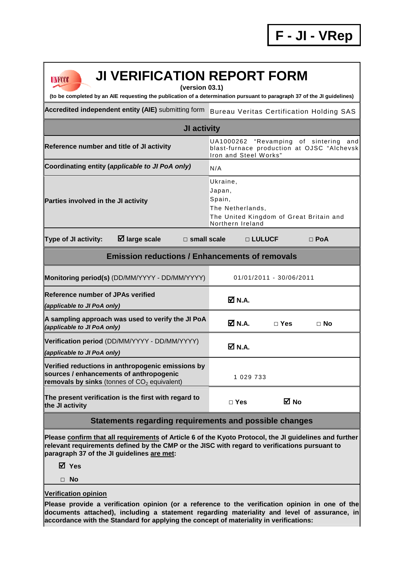# **UNFCCC**

# **JI VERIFICATION REPORT FORM**

**(version 03.1)** 

**(to be completed by an AIE requesting the publication of a determination pursuant to paragraph 37 of the JI guidelines)** 

Accredited independent entity (AIE) submitting form Bureau Veritas Certification Holding SAS

| <b>JI activity</b>                                                                                                  |                                                                                                                                           |  |  |  |  |  |
|---------------------------------------------------------------------------------------------------------------------|-------------------------------------------------------------------------------------------------------------------------------------------|--|--|--|--|--|
| Reference number and title of JI activity                                                                           | UA1000262 "Revamping of sintering<br>andl<br>blast-furnace production at OJSC "Alchevsk<br>Iron and Steel Works"                          |  |  |  |  |  |
| Coordinating entity (applicable to JI PoA only)                                                                     | N/A                                                                                                                                       |  |  |  |  |  |
| Parties involved in the JI activity<br>$\boxtimes$ large scale<br><b>Type of JI activity:</b><br>$\Box$ small scale | Ukraine,<br>Japan,<br>Spain,<br>The Netherlands,<br>The United Kingdom of Great Britain and<br>Northern Ireland<br>□ LULUCF<br>$\Box$ PoA |  |  |  |  |  |
| <b>Emission reductions / Enhancements of removals</b>                                                               |                                                                                                                                           |  |  |  |  |  |
| Monitoring period(s) (DD/MM/YYYY - DD/MM/YYYY)                                                                      | 01/01/2011 - 30/06/2011                                                                                                                   |  |  |  |  |  |
| <b>Reference number of JPAs verified</b><br>(applicable to JI PoA only)                                             | $\boxtimes$ N.A.                                                                                                                          |  |  |  |  |  |
| A sampling approach was used to verify the JI PoA<br>(applicable to JI PoA only)                                    | <b>Ø</b> N.A.<br>$\sqcap$ Yes<br>$\Box$ No                                                                                                |  |  |  |  |  |
| Verification period (DD/MM/YYYY - DD/MM/YYYY)                                                                       | <b>EX.LA</b>                                                                                                                              |  |  |  |  |  |

| <b>Reference number of JPAs verified</b><br>(applicable to JI PoA only)                                                                                  | $\overline{\mathsf{M}}$ N.A.             |
|----------------------------------------------------------------------------------------------------------------------------------------------------------|------------------------------------------|
| A sampling approach was used to verify the JI PoA<br>(applicable to JI PoA only)                                                                         | <b>☑ N.A.</b><br>$\Box$ Yes<br>$\Box$ No |
| Verification period (DD/MM/YYYY - DD/MM/YYYY)<br>(applicable to JI PoA only)                                                                             | <b>☑</b> N.A.                            |
| Verified reductions in anthropogenic emissions by<br>sources / enhancements of anthropogenic<br>removals by sinks (tonnes of CO <sub>2</sub> equivalent) | 1 029 733                                |
| The present verification is the first with regard to<br>the JI activity                                                                                  | M No<br>$\Box$ Yes                       |

## **Statements regarding requirements and possible changes**

**Please confirm that all requirements of Article 6 of the Kyoto Protocol, the JI guidelines and further relevant requirements defined by the CMP or the JISC with regard to verifications pursuant to paragraph 37 of the JI guidelines are met:** 

### **Yes**

**□ No** 

### **Verification opinion**

**Please provide a verification opinion (or a reference to the verification opinion in one of the documents attached), including a statement regarding materiality and level of assurance, in accordance with the Standard for applying the concept of materiality in verifications:**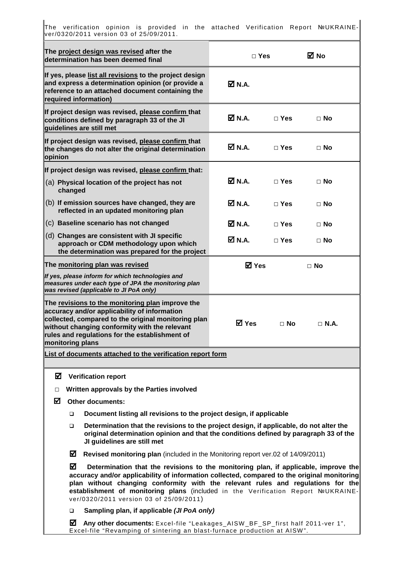|                                                                                                                                                                                                                                                                                                                |                                                                          | The verification opinion is provided in the attached Verification Report NºUKRAINE-<br>ver/0320/2011 version 03 of 25/09/2011.                                                                                                                                                                                                                                                                         |                                             |              |             |           |
|----------------------------------------------------------------------------------------------------------------------------------------------------------------------------------------------------------------------------------------------------------------------------------------------------------------|--------------------------------------------------------------------------|--------------------------------------------------------------------------------------------------------------------------------------------------------------------------------------------------------------------------------------------------------------------------------------------------------------------------------------------------------------------------------------------------------|---------------------------------------------|--------------|-------------|-----------|
|                                                                                                                                                                                                                                                                                                                |                                                                          | The project design was revised after the<br>determination has been deemed final                                                                                                                                                                                                                                                                                                                        |                                             | $\Box$ Yes   |             | ⊠ No      |
|                                                                                                                                                                                                                                                                                                                |                                                                          | If yes, please list all revisions to the project design<br>and express a determination opinion (or provide a<br>reference to an attached document containing the<br>required information)                                                                                                                                                                                                              | M N.A.                                      |              |             |           |
|                                                                                                                                                                                                                                                                                                                |                                                                          | If project design was revised, please confirm that<br>conditions defined by paragraph 33 of the JI<br>guidelines are still met                                                                                                                                                                                                                                                                         | ØN.A.                                       | $\Box$ Yes   |             | $\Box$ No |
| opinion                                                                                                                                                                                                                                                                                                        |                                                                          | If project design was revised, please confirm that<br>the changes do not alter the original determination                                                                                                                                                                                                                                                                                              | $\boxtimes$ N.A.<br>$\Box$ Yes<br>$\Box$ No |              |             |           |
|                                                                                                                                                                                                                                                                                                                |                                                                          | If project design was revised, please confirm that:                                                                                                                                                                                                                                                                                                                                                    |                                             |              |             |           |
|                                                                                                                                                                                                                                                                                                                | changed                                                                  | (a) Physical location of the project has not                                                                                                                                                                                                                                                                                                                                                           | ØN.A.                                       | $\Box$ Yes   |             | $\Box$ No |
|                                                                                                                                                                                                                                                                                                                |                                                                          | (b) If emission sources have changed, they are<br>reflected in an updated monitoring plan                                                                                                                                                                                                                                                                                                              | <b>☑</b> N.A.                               | $\Box$ Yes   |             | $\Box$ No |
|                                                                                                                                                                                                                                                                                                                |                                                                          | (c) Baseline scenario has not changed                                                                                                                                                                                                                                                                                                                                                                  | <b>☑</b> N.A.                               | $\Box$ Yes   |             | $\Box$ No |
|                                                                                                                                                                                                                                                                                                                |                                                                          | (d) Changes are consistent with JI specific<br>approach or CDM methodology upon which<br>the determination was prepared for the project                                                                                                                                                                                                                                                                | $\overline{\mathsf{M}}$ N.A.                | $\Box$ Yes   |             | $\Box$ No |
| The monitoring plan was revised                                                                                                                                                                                                                                                                                |                                                                          |                                                                                                                                                                                                                                                                                                                                                                                                        |                                             | <b>☑</b> Yes | $\Box$ No   |           |
|                                                                                                                                                                                                                                                                                                                |                                                                          | If yes, please inform for which technologies and<br>measures under each type of JPA the monitoring plan<br>was revised (applicable to JI PoA only)                                                                                                                                                                                                                                                     |                                             |              |             |           |
| The revisions to the monitoring plan improve the<br>accuracy and/or applicability of information<br>collected, compared to the original monitoring plan<br>$\boxtimes$ Yes<br>$\Box$ No<br>without changing conformity with the relevant<br>rules and regulations for the establishment of<br>monitoring plans |                                                                          |                                                                                                                                                                                                                                                                                                                                                                                                        |                                             |              | $\Box$ N.A. |           |
|                                                                                                                                                                                                                                                                                                                |                                                                          | List of documents attached to the verification report form                                                                                                                                                                                                                                                                                                                                             |                                             |              |             |           |
| ☑                                                                                                                                                                                                                                                                                                              |                                                                          | <b>Verification report</b>                                                                                                                                                                                                                                                                                                                                                                             |                                             |              |             |           |
|                                                                                                                                                                                                                                                                                                                |                                                                          |                                                                                                                                                                                                                                                                                                                                                                                                        |                                             |              |             |           |
| Written approvals by the Parties involved<br>□<br>☑<br><b>Other documents:</b>                                                                                                                                                                                                                                 |                                                                          |                                                                                                                                                                                                                                                                                                                                                                                                        |                                             |              |             |           |
|                                                                                                                                                                                                                                                                                                                | Document listing all revisions to the project design, if applicable<br>□ |                                                                                                                                                                                                                                                                                                                                                                                                        |                                             |              |             |           |
|                                                                                                                                                                                                                                                                                                                | □                                                                        | Determination that the revisions to the project design, if applicable, do not alter the<br>original determination opinion and that the conditions defined by paragraph 33 of the<br>JI guidelines are still met                                                                                                                                                                                        |                                             |              |             |           |
|                                                                                                                                                                                                                                                                                                                | ☑                                                                        | Revised monitoring plan (included in the Monitoring report ver.02 of 14/09/2011)                                                                                                                                                                                                                                                                                                                       |                                             |              |             |           |
|                                                                                                                                                                                                                                                                                                                | ☑                                                                        | Determination that the revisions to the monitoring plan, if applicable, improve the<br>accuracy and/or applicability of information collected, compared to the original monitoring<br>plan without changing conformity with the relevant rules and regulations for the<br>establishment of monitoring plans (included in the Verification Report NºUKRAINE-<br>ver/0320/2011 version 03 of 25/09/2011) |                                             |              |             |           |
|                                                                                                                                                                                                                                                                                                                | $\Box$                                                                   | Sampling plan, if applicable (JI PoA only)                                                                                                                                                                                                                                                                                                                                                             |                                             |              |             |           |
|                                                                                                                                                                                                                                                                                                                | ☑                                                                        | Any other documents: Excel-file "Leakages_AISW_BF_SP_first half 2011-ver 1",                                                                                                                                                                                                                                                                                                                           |                                             |              |             |           |

Excel-file "Revamping of sintering an blast-furnace production at AISW ".